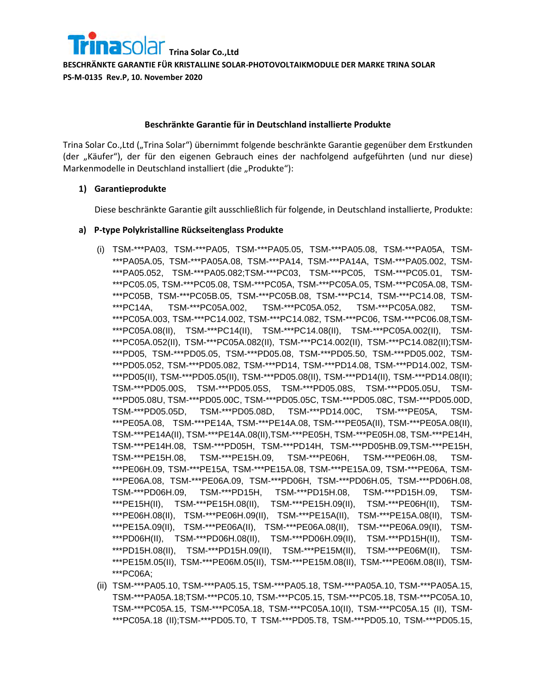

#### **Beschränkte Garantie für in Deutschland installierte Produkte**

Trina Solar Co.,Ltd ("Trina Solar") übernimmt folgende beschränkte Garantie gegenüber dem Erstkunden (der "Käufer"), der für den eigenen Gebrauch eines der nachfolgend aufgeführten (und nur diese) Markenmodelle in Deutschland installiert (die "Produkte"):

### **1) Garantieprodukte**

Diese beschränkte Garantie gilt ausschließlich für folgende, in Deutschland installierte, Produkte:

#### **a) P-type Polykristalline Rückseitenglass Produkte**

- (i) TSM-\*\*\*PA03, TSM-\*\*\*PA05, TSM-\*\*\*PA05.05, TSM-\*\*\*PA05.08, TSM-\*\*\*PA05A, TSM- \*\*\*PA05A.05, TSM-\*\*\*PA05A.08, TSM-\*\*\*PA14, TSM-\*\*\*PA14A, TSM-\*\*\*PA05.002, TSM- \*\*\*PA05.052, TSM-\*\*\*PA05.082;TSM-\*\*\*PC03, TSM-\*\*\*PC05, TSM-\*\*\*PC05.01, TSM- \*\*\*PC05.05, TSM-\*\*\*PC05.08, TSM-\*\*\*PC05A, TSM-\*\*\*PC05A.05, TSM-\*\*\*PC05A.08, TSM- \*\*\*PC05B, TSM-\*\*\*PC05B.05, TSM-\*\*\*PC05B.08, TSM-\*\*\*PC14, TSM-\*\*\*PC14.08, TSM- \*\*\*PC14A, TSM-\*\*\*PC05A.002, TSM-\*\*\*PC05A.052, TSM-\*\*\*PC05A.082, TSM- \*\*\*PC05A.003, TSM-\*\*\*PC14.002, TSM-\*\*\*PC14.082, TSM-\*\*\*PC06, TSM-\*\*\*PC06.08,TSM- \*\*\*PC05A.08(II), TSM-\*\*\*PC14(II), TSM-\*\*\*PC14.08(II), TSM-\*\*\*PC05A.002(II), TSM- \*\*\*PC05A.052(II), TSM-\*\*\*PC05A.082(II), TSM-\*\*\*PC14.002(II), TSM-\*\*\*PC14.082(II);TSM- \*\*\*PD05, TSM-\*\*\*PD05.05, TSM-\*\*\*PD05.08, TSM-\*\*\*PD05.50, TSM-\*\*\*PD05.002, TSM- \*\*\*PD05.052, TSM-\*\*\*PD05.082, TSM-\*\*\*PD14, TSM-\*\*\*PD14.08, TSM-\*\*\*PD14.002, TSM- \*\*\*PD05(II), TSM-\*\*\*PD05.05(II), TSM-\*\*\*PD05.08(II), TSM-\*\*\*PD14(II), TSM-\*\*\*PD14.08(II); TSM-\*\*\*PD05.00S, TSM-\*\*\*PD05.05S, TSM-\*\*\*PD05.08S, TSM-\*\*\*PD05.05U, TSM- \*\*\*PD05.08U, TSM-\*\*\*PD05.00C, TSM-\*\*\*PD05.05C, TSM-\*\*\*PD05.08C, TSM-\*\*\*PD05.00D, TSM-\*\*\*PD05.05D, TSM-\*\*\*PD05.08D, TSM-\*\*\*PD14.00C, TSM-\*\*\*PE05A, TSM- \*\*\*PE05A.08, TSM-\*\*\*PE14A, TSM-\*\*\*PE14A.08, TSM-\*\*\*PE05A(II), TSM-\*\*\*PE05A.08(II), TSM-\*\*\*PE14A(II), TSM-\*\*\*PE14A.08(II),TSM-\*\*\*PE05H, TSM-\*\*\*PE05H.08, TSM-\*\*\*PE14H, TSM-\*\*\*PE14H.08, TSM-\*\*\*PD05H, TSM-\*\*\*PD14H, TSM-\*\*\*PD05HB.09,TSM-\*\*\*PE15H, TSM-\*\*\*PE15H.08, TSM-\*\*\*PE15H.09, TSM-\*\*\*PE06H, TSM-\*\*\*PE06H.08, TSM- \*\*\*PE06H.09, TSM-\*\*\*PE15A, TSM-\*\*\*PE15A.08, TSM-\*\*\*PE15A.09, TSM-\*\*\*PE06A, TSM- \*\*\*PE06A.08, TSM-\*\*\*PE06A.09, TSM-\*\*\*PD06H, TSM-\*\*\*PD06H.05, TSM-\*\*\*PD06H.08, TSM-\*\*\*PD06H.09, TSM-\*\*\*PD15H, TSM-\*\*\*PD15H.08, TSM-\*\*\*PD15H.09, TSM- \*\*\*PE15H(II), TSM-\*\*\*PE15H.08(II), TSM-\*\*\*PE15H.09(II), TSM-\*\*\*PE06H(II), TSM- \*\*\*PE06H.08(II), TSM-\*\*\*PE06H.09(II), TSM-\*\*\*PE15A(II), TSM-\*\*\*PE15A.08(II), TSM- \*\*\*PE15A.09(II), TSM-\*\*\*PE06A(II), TSM-\*\*\*PE06A.08(II), TSM-\*\*\*PE06A.09(II), TSM- \*\*\*PD06H(II), TSM-\*\*\*PD06H.08(II), TSM-\*\*\*PD06H.09(II), TSM-\*\*\*PD15H(II), TSM- \*\*\*PD15H.08(II), TSM-\*\*\*PD15H.09(II), TSM-\*\*\*PE15M(II), TSM-\*\*\*PE06M(II), TSM- \*\*\*PE15M.05(II), TSM-\*\*\*PE06M.05(II), TSM-\*\*\*PE15M.08(II), TSM-\*\*\*PE06M.08(II), TSM- \*\*\*PC06A;
- (ii) TSM-\*\*\*PA05.10, TSM-\*\*\*PA05.15, TSM-\*\*\*PA05.18, TSM-\*\*\*PA05A.10, TSM-\*\*\*PA05A.15, TSM-\*\*\*PA05A.18;TSM-\*\*\*PC05.10, TSM-\*\*\*PC05.15, TSM-\*\*\*PC05.18, TSM-\*\*\*PC05A.10, TSM-\*\*\*PC05A.15, TSM-\*\*\*PC05A.18, TSM-\*\*\*PC05A.10(II), TSM-\*\*\*PC05A.15 (II), TSM- \*\*\*PC05A.18 (II);TSM-\*\*\*PD05.T0, T TSM-\*\*\*PD05.T8, TSM-\*\*\*PD05.10, TSM-\*\*\*PD05.15,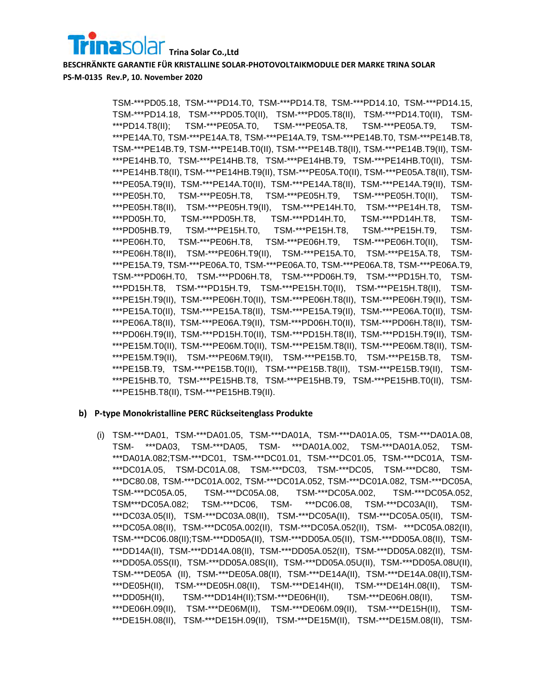TSM-\*\*\*PD05.18, TSM-\*\*\*PD14.T0, TSM-\*\*\*PD14.T8, TSM-\*\*\*PD14.10, TSM-\*\*\*PD14.15, TSM-\*\*\*PD14.18, TSM-\*\*\*PD05.T0(II), TSM-\*\*\*PD05.T8(II), TSM-\*\*\*PD14.T0(II), TSM- \*\*\*PD14.T8(II); TSM-\*\*\*PE05A.T0, TSM-\*\*\*PE05A.T8, TSM-\*\*\*PE05A.T9, TSM- \*\*\*PE14A.T0, TSM-\*\*\*PE14A.T8, TSM-\*\*\*PE14A.T9, TSM-\*\*\*PE14B.T0, TSM-\*\*\*PE14B.T8, TSM-\*\*\*PE14B.T9, TSM-\*\*\*PE14B.T0(II), TSM-\*\*\*PE14B.T8(II), TSM-\*\*\*PE14B.T9(II), TSM- \*\*\*PE14HB.T0, TSM-\*\*\*PE14HB.T8, TSM-\*\*\*PE14HB.T9, TSM-\*\*\*PE14HB.T0(II), TSM- \*\*\*PE14HB.T8(II), TSM-\*\*\*PE14HB.T9(II), TSM-\*\*\*PE05A.T0(II), TSM-\*\*\*PE05A.T8(II), TSM- \*\*\*PE05A.T9(II), TSM-\*\*\*PE14A.T0(II), TSM-\*\*\*PE14A.T8(II), TSM-\*\*\*PE14A.T9(II), TSM- \*\*\*PE05H.T0, TSM-\*\*\*PE05H.T8, TSM-\*\*\*PE05H.T9, TSM-\*\*\*PE05H.T0(II), TSM- \*\*\*PE05H.T8(II), TSM-\*\*\*PE05H.T9(II), TSM-\*\*\*PE14H.T0, TSM-\*\*\*PE14H.T8, TSM- \*\*\*PD05H.T0, TSM-\*\*\*PD05H.T8, TSM-\*\*\*PD14H.T0, TSM-\*\*\*PD14H.T8, TSM- \*\*\*PD05HB.T9, TSM-\*\*\*PE15H.T0, TSM-\*\*\*PE15H.T8, TSM-\*\*\*PE15H.T9, TSM- \*\*\*PE06H.T0, TSM-\*\*\*PE06H.T8, TSM-\*\*\*PE06H.T9, TSM-\*\*\*PE06H.T0(II), TSM- \*\*\*PE06H.T8(II), TSM-\*\*\*PE06H.T9(II), TSM-\*\*\*PE15A.T0, TSM-\*\*\*PE15A.T8, TSM- \*\*\*PE15A.T9, TSM-\*\*\*PE06A.T0, TSM-\*\*\*PE06A.T0, TSM-\*\*\*PE06A.T8, TSM-\*\*\*PE06A.T9, TSM-\*\*\*PD06H.T0, TSM-\*\*\*PD06H.T8, TSM-\*\*\*PD06H.T9, TSM-\*\*\*PD15H.T0, TSM- \*\*\*PD15H.T8, TSM-\*\*\*PD15H.T9, TSM-\*\*\*PE15H.T0(II), TSM-\*\*\*PE15H.T8(II), TSM- \*\*\*PE15H.T9(II), TSM-\*\*\*PE06H.T0(II), TSM-\*\*\*PE06H.T8(II), TSM-\*\*\*PE06H.T9(II), TSM- \*\*\*PE15A.T0(II), TSM-\*\*\*PE15A.T8(II), TSM-\*\*\*PE15A.T9(II), TSM-\*\*\*PE06A.T0(II), TSM- \*\*\*PE06A.T8(II), TSM-\*\*\*PE06A.T9(II), TSM-\*\*\*PD06H.T0(II), TSM-\*\*\*PD06H.T8(II), TSM- \*\*\*PD06H.T9(II), TSM-\*\*\*PD15H.T0(II), TSM-\*\*\*PD15H.T8(II), TSM-\*\*\*PD15H.T9(II), TSM- \*\*\*PE15M.T0(II), TSM-\*\*\*PE06M.T0(II), TSM-\*\*\*PE15M.T8(II), TSM-\*\*\*PE06M.T8(II), TSM- \*\*\*PE15M.T9(II), TSM-\*\*\*PE06M.T9(II), TSM-\*\*\*PE15B.T0, TSM-\*\*\*PE15B.T8, TSM- \*\*\*PE15B.T9, TSM-\*\*\*PE15B.T0(II), TSM-\*\*\*PE15B.T8(II), TSM-\*\*\*PE15B.T9(II), TSM- \*\*\*PE15HB.T0, TSM-\*\*\*PE15HB.T8, TSM-\*\*\*PE15HB.T9, TSM-\*\*\*PE15HB.T0(II), TSM- \*\*\*PE15HB.T8(II), TSM-\*\*\*PE15HB.T9(II).

## **b) P-type Monokristalline PERC Rückseitenglass Produkte**

(i) TSM-\*\*\*DA01, TSM-\*\*\*DA01.05, TSM-\*\*\*DA01A, TSM-\*\*\*DA01A.05, TSM-\*\*\*DA01A.08, TSM- \*\*\*DA03, TSM-\*\*\*DA05, TSM- \*\*\*DA01A.002, TSM-\*\*\*DA01A.052, TSM- \*\*\*DA01A.082;TSM-\*\*\*DC01, TSM-\*\*\*DC01.01, TSM-\*\*\*DC01.05, TSM-\*\*\*DC01A, TSM- \*\*\*DC01A.05, TSM-DC01A.08, TSM-\*\*\*DC03, TSM-\*\*\*DC05, TSM-\*\*\*DC80, TSM- \*\*\*DC80.08, TSM-\*\*\*DC01A.002, TSM-\*\*\*DC01A.052, TSM-\*\*\*DC01A.082, TSM-\*\*\*DC05A, TSM-\*\*\*DC05A.05, TSM-\*\*\*DC05A.08, TSM-\*\*\*DC05A.002, TSM-\*\*\*DC05A.052, TSM\*\*\*DC05A.082; TSM-\*\*\*DC06, TSM- \*\*\*DC06.08, TSM-\*\*\*DC03A(II), TSM- \*\*\*DC03A.05(II), TSM-\*\*\*DC03A.08(II), TSM-\*\*\*DC05A(II), TSM-\*\*\*DC05A.05(II), TSM- \*\*\*DC05A.08(II), TSM-\*\*\*DC05A.002(II), TSM-\*\*\*DC05A.052(II), TSM- \*\*\*DC05A.082(II), TSM-\*\*\*DC06.08(II);TSM-\*\*\*DD05A(II), TSM-\*\*\*DD05A.05(II), TSM-\*\*\*DD05A.08(II), TSM- \*\*\*DD14A(II), TSM-\*\*\*DD14A.08(II), TSM-\*\*\*DD05A.052(II), TSM-\*\*\*DD05A.082(II), TSM- \*\*\*DD05A.05S(II), TSM-\*\*\*DD05A.08S(II), TSM-\*\*\*DD05A.05U(II), TSM-\*\*\*DD05A.08U(II), TSM-\*\*\*DE05A (II), TSM-\*\*\*DE05A.08(II), TSM-\*\*\*DE14A(II), TSM-\*\*\*DE14A.08(II),TSM- \*\*\*DE05H(II), TSM-\*\*\*DE05H.08(II), TSM-\*\*\*DE14H(II), TSM-\*\*\*DE14H.08(II), TSM- \*\*\*DD05H(II), TSM-\*\*\*DD14H(II);TSM-\*\*\*DE06H(II), TSM-\*\*\*DE06H.08(II), TSM- \*\*\*DE06H.09(II), TSM-\*\*\*DE06M(II), TSM-\*\*\*DE06M.09(II), TSM-\*\*\*DE15H(II), TSM- \*\*\*DE15H.08(II), TSM-\*\*\*DE15H.09(II), TSM-\*\*\*DE15M(II), TSM-\*\*\*DE15M.08(II), TSM-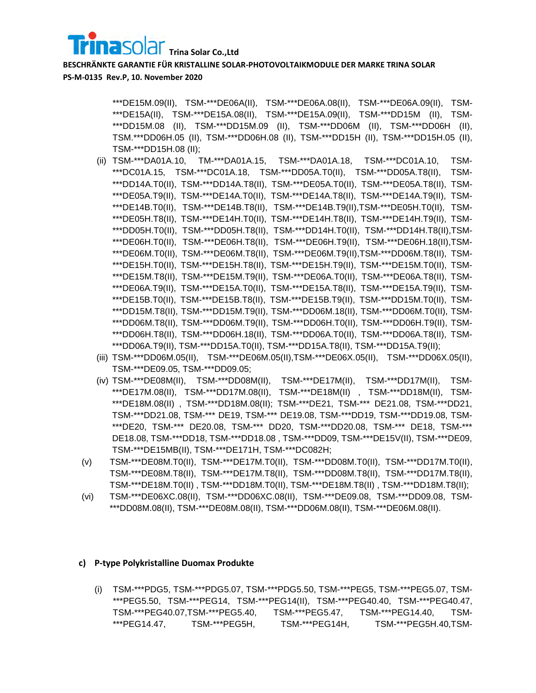\*\*\*DE15M.09(II), TSM-\*\*\*DE06A(II), TSM-\*\*\*DE06A.08(II), TSM-\*\*\*DE06A.09(II), TSM- \*\*\*DE15A(II), TSM-\*\*\*DE15A.08(II), TSM-\*\*\*DE15A.09(II), TSM-\*\*\*DD15M (II), TSM- \*\*\*DD15M.08 (II), TSM-\*\*\*DD15M.09 (II), TSM-\*\*\*DD06M (II), TSM-\*\*\*DD06H (II), TSM.\*\*\*DD06H.05 (II), TSM-\*\*\*DD06H.08 (II), TSM-\*\*\*DD15H (II), TSM-\*\*\*DD15H.05 (II), TSM-\*\*\*DD15H.08 (II);

- (ii) TSM-\*\*\*DA01A.10, TM-\*\*\*DA01A.15, TSM-\*\*\*DA01A.18, TSM-\*\*\*DC01A.10, TSM- \*\*\*DC01A.15, TSM-\*\*\*DC01A.18, TSM-\*\*\*DD05A.T0(II), TSM-\*\*\*DD05A.T8(II), TSM- \*\*\*DD14A.T0(II), TSM-\*\*\*DD14A.T8(II), TSM-\*\*\*DE05A.T0(II), TSM-\*\*\*DE05A.T8(II), TSM- \*\*\*DE05A.T9(II), TSM-\*\*\*DE14A.T0(II), TSM-\*\*\*DE14A.T8(II), TSM-\*\*\*DE14A.T9(II), TSM- \*\*\*DE14B.T0(II), TSM-\*\*\*DE14B.T8(II), TSM-\*\*\*DE14B.T9(II),TSM-\*\*\*DE05H.T0(II), TSM- \*\*\*DE05H.T8(II), TSM-\*\*\*DE14H.T0(II), TSM-\*\*\*DE14H.T8(II), TSM-\*\*\*DE14H.T9(II), TSM- \*\*\*DD05H.T0(II), TSM-\*\*\*DD05H.T8(II), TSM-\*\*\*DD14H.T0(II), TSM-\*\*\*DD14H.T8(II),TSM- \*\*\*DE06H.T0(II), TSM-\*\*\*DE06H.T8(II), TSM-\*\*\*DE06H.T9(II), TSM-\*\*\*DE06H.18(II),TSM- \*\*\*DE06M.T0(II), TSM-\*\*\*DE06M.T8(II), TSM-\*\*\*DE06M.T9(II),TSM-\*\*\*DD06M.T8(II), TSM- \*\*\*DE15H.T0(II), TSM-\*\*\*DE15H.T8(II), TSM-\*\*\*DE15H.T9(II), TSM-\*\*\*DE15M.T0(II), TSM- \*\*\*DE15M.T8(II), TSM-\*\*\*DE15M.T9(II), TSM-\*\*\*DE06A.T0(II), TSM-\*\*\*DE06A.T8(II), TSM- \*\*\*DE06A.T9(II), TSM-\*\*\*DE15A.T0(II), TSM-\*\*\*DE15A.T8(II), TSM-\*\*\*DE15A.T9(II), TSM- \*\*\*DE15B.T0(II), TSM-\*\*\*DE15B.T8(II), TSM-\*\*\*DE15B.T9(II), TSM-\*\*\*DD15M.T0(II), TSM- \*\*\*DD15M.T8(II), TSM-\*\*\*DD15M.T9(II), TSM-\*\*\*DD06M.18(II), TSM-\*\*\*DD06M.T0(II), TSM- \*\*\*DD06M.T8(II), TSM-\*\*\*DD06M.T9(II), TSM-\*\*\*DD06H.T0(II), TSM-\*\*\*DD06H.T9(II), TSM- \*\*\*DD06H.T8(II), TSM-\*\*\*DD06H.18(II), TSM-\*\*\*DD06A.T0(II), TSM-\*\*\*DD06A.T8(II), TSM- \*\*\*DD06A.T9(II), TSM-\*\*\*DD15A.T0(II), TSM-\*\*\*DD15A.T8(II), TSM-\*\*\*DD15A.T9(II);
- (iii) TSM-\*\*\*DD06M.05(II), TSM-\*\*\*DE06M.05(II),TSM-\*\*\*DE06X.05(II), TSM-\*\*\*DD06X.05(II), TSM-\*\*\*DE09.05, TSM-\*\*\*DD09.05;
- (iv) TSM-\*\*\*DE08M(II), TSM-\*\*\*DD08M(II), TSM-\*\*\*DE17M(II), TSM-\*\*\*DD17M(II), TSM- \*\*\*DE17M.08(II), TSM-\*\*\*DD17M.08(II), TSM-\*\*\*DE18M(II) , TSM-\*\*\*DD18M(II), TSM- \*\*\*DE18M.08(II) , TSM-\*\*\*DD18M.08(II); TSM-\*\*\*DE21, TSM-\*\*\* DE21.08, TSM-\*\*\*DD21, TSM-\*\*\*DD21.08, TSM-\*\*\* DE19, TSM-\*\*\* DE19.08, TSM-\*\*\*DD19, TSM-\*\*\*DD19.08, TSM- \*\*\*DE20, TSM-\*\*\* DE20.08, TSM-\*\*\* DD20, TSM-\*\*\*DD20.08, TSM-\*\*\* DE18, TSM-\*\*\* DE18.08, TSM-\*\*\*DD18, TSM-\*\*\*DD18.08 , TSM-\*\*\*DD09, TSM-\*\*\*DE15V(II), TSM-\*\*\*DE09, TSM-\*\*\*DE15MB(II), TSM-\*\*\*DE171H, TSM-\*\*\*DC082H;
- (v) TSM-\*\*\*DE08M.T0(II), TSM-\*\*\*DE17M.T0(II), TSM-\*\*\*DD08M.T0(II), TSM-\*\*\*DD17M.T0(II), TSM-\*\*\*DE08M.T8(II), TSM-\*\*\*DE17M.T8(II), TSM-\*\*\*DD08M.T8(II), TSM-\*\*\*DD17M.T8(II), TSM-\*\*\*DE18M.T0(II) , TSM-\*\*\*DD18M.T0(II), TSM-\*\*\*DE18M.T8(II) , TSM-\*\*\*DD18M.T8(II);
- (vi) TSM-\*\*\*DE06XC.08(II), TSM-\*\*\*DD06XC.08(II), TSM-\*\*\*DE09.08, TSM-\*\*\*DD09.08, TSM- \*\*\*DD08M.08(II), TSM-\*\*\*DE08M.08(II), TSM-\*\*\*DD06M.08(II), TSM-\*\*\*DE06M.08(II).

#### **c) P-type Polykristalline Duomax Produkte**

(i) TSM-\*\*\*PDG5, TSM-\*\*\*PDG5.07, TSM-\*\*\*PDG5.50, TSM-\*\*\*PEG5, TSM-\*\*\*PEG5.07, TSM- \*\*\*PEG5.50, TSM-\*\*\*PEG14, TSM-\*\*\*PEG14(II), TSM-\*\*\*PEG40.40, TSM-\*\*\*PEG40.47, TSM-\*\*\*PEG40.07,TSM-\*\*\*PEG5.40, TSM-\*\*\*PEG5.47, TSM-\*\*\*PEG14.40, TSM- \*\*\*PEG14.47, TSM-\*\*\*PEG5H, TSM-\*\*\*PEG14H, TSM-\*\*\*PEG5H.40,TSM-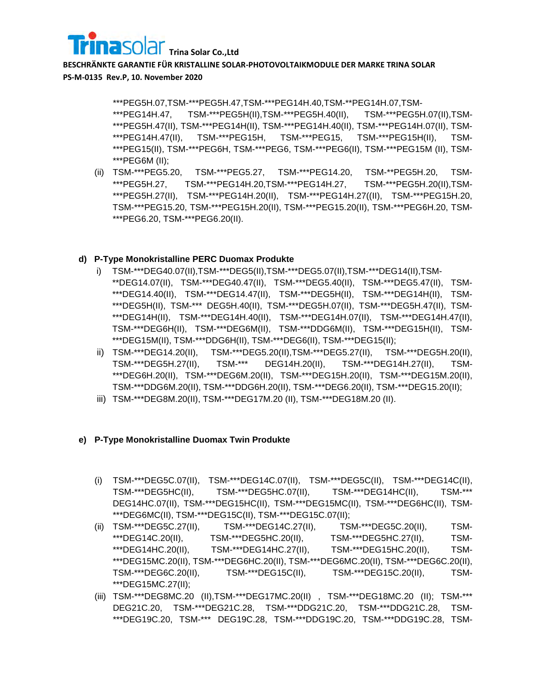

\*\*\*PEG5H.07,TSM-\*\*\*PEG5H.47,TSM-\*\*\*PEG14H.40,TSM-\*\*PEG14H.07,TSM- \*\*\*PEG14H.47, TSM-\*\*\*PEG5H(II),TSM-\*\*\*PEG5H.40(II), TSM-\*\*\*PEG5H.07(II),TSM- \*\*\*PEG5H.47(II), TSM-\*\*\*PEG14H(II), TSM-\*\*\*PEG14H.40(II), TSM-\*\*\*PEG14H.07(II), TSM- \*\*\*PEG14H.47(II), TSM-\*\*\*PEG15H, TSM-\*\*\*PEG15, TSM-\*\*\*PEG15H(II), TSM- \*\*\*PEG15(II), TSM-\*\*\*PEG6H, TSM-\*\*\*PEG6, TSM-\*\*\*PEG6(II), TSM-\*\*\*PEG15M (II), TSM- \*\*\*PEG6M (II);

(ii) TSM-\*\*\*PEG5.20, TSM-\*\*\*PEG5.27, TSM-\*\*\*PEG14.20, TSM-\*\*PEG5H.20, TSM- \*\*\*PEG5H.27, TSM-\*\*\*PEG14H.20,TSM-\*\*\*PEG14H.27, TSM-\*\*\*PEG5H.20(II),TSM- \*\*\*PEG5H.27(II), TSM-\*\*\*PEG14H.20(II), TSM-\*\*\*PEG14H.27((II), TSM-\*\*\*PEG15H.20, TSM-\*\*\*PEG15.20, TSM-\*\*\*PEG15H.20(II), TSM-\*\*\*PEG15.20(II), TSM-\*\*\*PEG6H.20, TSM- \*\*\*PEG6.20, TSM-\*\*\*PEG6.20(II).

## **d) P-Type Monokristalline PERC Duomax Produkte**

- i) TSM-\*\*\*DEG40.07(II),TSM-\*\*\*DEG5(II),TSM-\*\*\*DEG5.07(II),TSM-\*\*\*DEG14(II),TSM- \*\*DEG14.07(II), TSM-\*\*\*DEG40.47(II), TSM-\*\*\*DEG5.40(II), TSM-\*\*\*DEG5.47(II), TSM- \*\*\*DEG14.40(II), TSM-\*\*\*DEG14.47(II), TSM-\*\*\*DEG5H(II), TSM-\*\*\*DEG14H(II), TSM- \*\*\*DEG5H(II), TSM-\*\*\* DEG5H.40(II), TSM-\*\*\*DEG5H.07(II), TSM-\*\*\*DEG5H.47(II), TSM- \*\*\*DEG14H(II), TSM-\*\*\*DEG14H.40(II), TSM-\*\*\*DEG14H.07(II), TSM-\*\*\*DEG14H.47(II), TSM-\*\*\*DEG6H(II), TSM-\*\*\*DEG6M(II), TSM-\*\*\*DDG6M(II), TSM-\*\*\*DEG15H(II), TSM- \*\*\*DEG15M(II), TSM-\*\*\*DDG6H(II), TSM-\*\*\*DEG6(II), TSM-\*\*\*DEG15(II);
- ii) TSM-\*\*\*DEG14.20(II), TSM-\*\*\*DEG5.20(II),TSM-\*\*\*DEG5.27(II), TSM-\*\*\*DEG5H.20(II), TSM-\*\*\*DEG5H.27(II), TSM-\*\*\* DEG14H.20(II), TSM-\*\*\*DEG14H.27(II), TSM- \*\*\*DEG6H.20(II), TSM-\*\*\*DEG6M.20(II), TSM-\*\*\*DEG15H.20(II), TSM-\*\*\*DEG15M.20(II), TSM-\*\*\*DDG6M.20(II), TSM-\*\*\*DDG6H.20(II), TSM-\*\*\*DEG6.20(II), TSM-\*\*\*DEG15.20(II);
- iii) TSM-\*\*\*DEG8M.20(II), TSM-\*\*\*DEG17M.20 (II), TSM-\*\*\*DEG18M.20 (II).

## **e) P-Type Monokristalline Duomax Twin Produkte**

- (i) TSM-\*\*\*DEG5C.07(II), TSM-\*\*\*DEG14C.07(II), TSM-\*\*\*DEG5C(II), TSM-\*\*\*DEG14C(II), TSM-\*\*\*DEG5HC(II), TSM-\*\*\*DEG5HC.07(II), TSM-\*\*\*DEG14HC(II), TSM-\*\*\* DEG14HC.07(II), TSM-\*\*\*DEG15HC(II), TSM-\*\*\*DEG15MC(II), TSM-\*\*\*DEG6HC(II), TSM- \*\*\*DEG6MC(II), TSM-\*\*\*DEG15C(II), TSM-\*\*\*DEG15C.07(II);
- (ii) TSM-\*\*\*DEG5C.27(II), TSM-\*\*\*DEG14C.27(II), TSM-\*\*\*DEG5C.20(II), TSM- \*\*\*DEG14C.20(II), TSM-\*\*\*DEG5HC.20(II), TSM-\*\*\*DEG5HC.27(II), TSM- \*\*\*DEG14HC.20(II), TSM-\*\*\*DEG14HC.27(II), TSM-\*\*\*DEG15HC.20(II), TSM- \*\*\*DEG15MC.20(II), TSM-\*\*\*DEG6HC.20(II), TSM-\*\*\*DEG6MC.20(II), TSM-\*\*\*DEG6C.20(II), TSM-\*\*\*DEG6C.20(II), TSM-\*\*\*DEG15C(II), TSM-\*\*\*DEG15C.20(II), TSM- \*\*\*DEG15MC.27(II);
- (iii) TSM-\*\*\*DEG8MC.20 (II),TSM-\*\*\*DEG17MC.20(II) , TSM-\*\*\*DEG18MC.20 (II); TSM-\*\*\* DEG21C.20, TSM-\*\*\*DEG21C.28, TSM-\*\*\*DDG21C.20, TSM-\*\*\*DDG21C.28, TSM- \*\*\*DEG19C.20, TSM-\*\*\* DEG19C.28, TSM-\*\*\*DDG19C.20, TSM-\*\*\*DDG19C.28, TSM-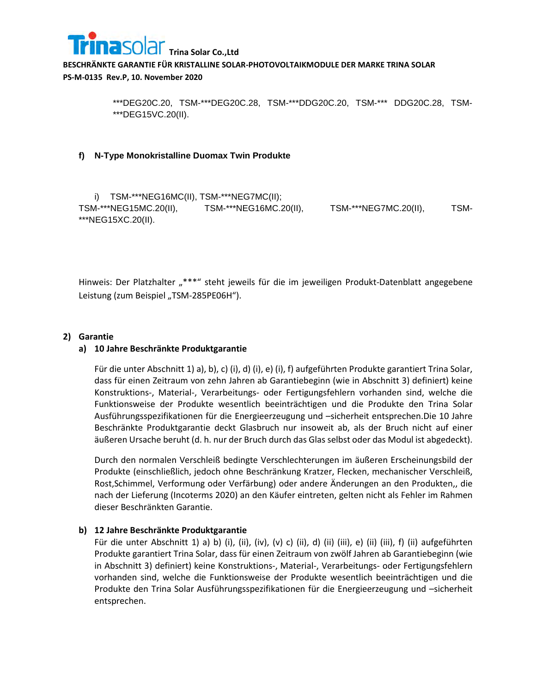

> \*\*\*DEG20C.20, TSM-\*\*\*DEG20C.28, TSM-\*\*\*DDG20C.20, TSM-\*\*\* DDG20C.28, TSM- \*\*\*DEG15VC.20(II).

### **f) N-Type Monokristalline Duomax Twin Produkte**

i) TSM-\*\*\*NEG16MC(II), TSM-\*\*\*NEG7MC(II); TSM-\*\*\*NEG15MC.20(II), TSM-\*\*\*NEG16MC.20(II), TSM-\*\*\*NEG7MC.20(II), TSM- \*\*\*NEG15XC.20(II).

Hinweis: Der Platzhalter "\*\*\*" steht jeweils für die im jeweiligen Produkt-Datenblatt angegebene Leistung (zum Beispiel "TSM-285PE06H").

### **2) Garantie**

## **a) 10 Jahre Beschränkte Produktgarantie**

Für die unter Abschnitt 1) a), b), c) (i), d) (i), e) (i), f) aufgeführten Produkte garantiert Trina Solar, dass für einen Zeitraum von zehn Jahren ab Garantiebeginn (wie in Abschnitt 3) definiert) keine Konstruktions-, Material-, Verarbeitungs- oder Fertigungsfehlern vorhanden sind, welche die Funktionsweise der Produkte wesentlich beeinträchtigen und die Produkte den Trina Solar Ausführungsspezifikationen für die Energieerzeugung und –sicherheit entsprechen.Die 10 Jahre Beschränkte Produktgarantie deckt Glasbruch nur insoweit ab, als der Bruch nicht auf einer äußeren Ursache beruht (d. h. nur der Bruch durch das Glas selbst oder das Modul ist abgedeckt).

Durch den normalen Verschleiß bedingte Verschlechterungen im äußeren Erscheinungsbild der Produkte (einschließlich, jedoch ohne Beschränkung Kratzer, Flecken, mechanischer Verschleiß, Rost,Schimmel, Verformung oder Verfärbung) oder andere Änderungen an den Produkten,, die nach der Lieferung (Incoterms 2020) an den Käufer eintreten, gelten nicht als Fehler im Rahmen dieser Beschränkten Garantie.

## **b) 12 Jahre Beschränkte Produktgarantie**

Für die unter Abschnitt 1) a) b) (i), (ii), (iv), (v) c) (ii), d) (ii) (iii), e) (ii) (iii), f) (ii) aufgeführten Produkte garantiert Trina Solar, dass für einen Zeitraum von zwölf Jahren ab Garantiebeginn (wie in Abschnitt 3) definiert) keine Konstruktions-, Material-, Verarbeitungs- oder Fertigungsfehlern vorhanden sind, welche die Funktionsweise der Produkte wesentlich beeinträchtigen und die Produkte den Trina Solar Ausführungsspezifikationen für die Energieerzeugung und –sicherheit entsprechen.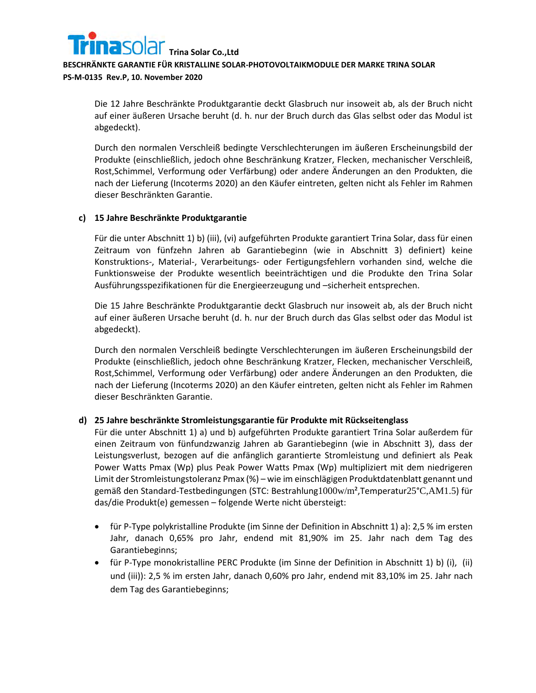

Die 12 Jahre Beschränkte Produktgarantie deckt Glasbruch nur insoweit ab, als der Bruch nicht auf einer äußeren Ursache beruht (d. h. nur der Bruch durch das Glas selbst oder das Modul ist abgedeckt).

Durch den normalen Verschleiß bedingte Verschlechterungen im äußeren Erscheinungsbild der Produkte (einschließlich, jedoch ohne Beschränkung Kratzer, Flecken, mechanischer Verschleiß, Rost,Schimmel, Verformung oder Verfärbung) oder andere Änderungen an den Produkten, die nach der Lieferung (Incoterms 2020) an den Käufer eintreten, gelten nicht als Fehler im Rahmen dieser Beschränkten Garantie.

## **c) 15 Jahre Beschränkte Produktgarantie**

Für die unter Abschnitt 1) b) (iii), (vi) aufgeführten Produkte garantiert Trina Solar, dass für einen Zeitraum von fünfzehn Jahren ab Garantiebeginn (wie in Abschnitt 3) definiert) keine Konstruktions-, Material-, Verarbeitungs- oder Fertigungsfehlern vorhanden sind, welche die Funktionsweise der Produkte wesentlich beeinträchtigen und die Produkte den Trina Solar Ausführungsspezifikationen für die Energieerzeugung und –sicherheit entsprechen.

Die 15 Jahre Beschränkte Produktgarantie deckt Glasbruch nur insoweit ab, als der Bruch nicht auf einer äußeren Ursache beruht (d. h. nur der Bruch durch das Glas selbst oder das Modul ist abgedeckt).

Durch den normalen Verschleiß bedingte Verschlechterungen im äußeren Erscheinungsbild der Produkte (einschließlich, jedoch ohne Beschränkung Kratzer, Flecken, mechanischer Verschleiß, Rost,Schimmel, Verformung oder Verfärbung) oder andere Änderungen an den Produkten, die nach der Lieferung (Incoterms 2020) an den Käufer eintreten, gelten nicht als Fehler im Rahmen dieser Beschränkten Garantie.

## **d) 25 Jahre beschränkte Stromleistungsgarantie für Produkte mit Rückseitenglass**

Für die unter Abschnitt 1) a) und b) aufgeführten Produkte garantiert Trina Solar außerdem für einen Zeitraum von fünfundzwanzig Jahren ab Garantiebeginn (wie in Abschnitt 3), dass der Leistungsverlust, bezogen auf die anfänglich garantierte Stromleistung und definiert als Peak Power Watts Pmax (Wp) plus Peak Power Watts Pmax (Wp) multipliziert mit dem niedrigeren Limit der Stromleistungstoleranz Pmax (%) – wie im einschlägigen Produktdatenblatt genannt und gemäß den Standard-Testbedingungen (STC: Bestrahlung1000w/m²,Temperatur25°C,AM1.5) für das/die Produkt(e) gemessen – folgende Werte nicht übersteigt:

- für P-Type polykristalline Produkte (im Sinne der Definition in Abschnitt 1) a): 2,5 % im ersten Jahr, danach 0,65% pro Jahr, endend mit 81,90% im 25. Jahr nach dem Tag des Garantiebeginns;
- für P-Type monokristalline PERC Produkte (im Sinne der Definition in Abschnitt 1) b) (i), (ii) und (iii)): 2,5 % im ersten Jahr, danach 0,60% pro Jahr, endend mit 83,10% im 25. Jahr nach dem Tag des Garantiebeginns;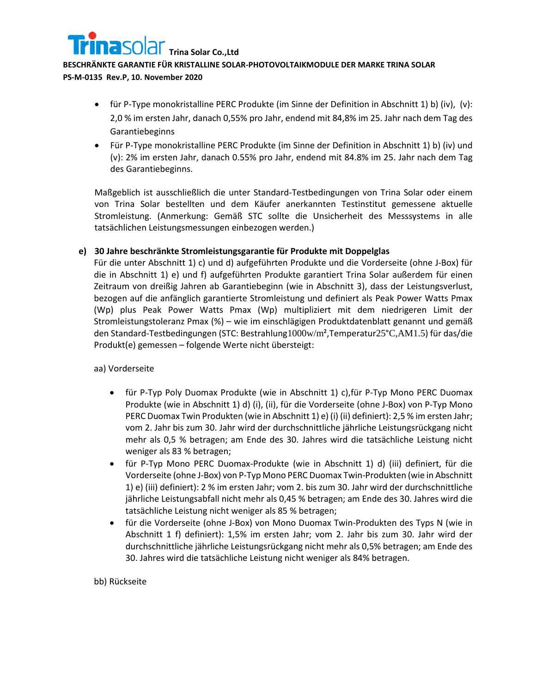

**PS-M-0135 Rev.P, 10. November 2020**

- für P-Type monokristalline PERC Produkte (im Sinne der Definition in Abschnitt 1) b) (iv), (v): 2,0 % im ersten Jahr, danach 0,55% pro Jahr, endend mit 84,8% im 25. Jahr nach dem Tag des Garantiebeginns
- Für P-Type monokristalline PERC Produkte (im Sinne der Definition in Abschnitt 1) b) (iv) und (v): 2% im ersten Jahr, danach 0.55% pro Jahr, endend mit 84.8% im 25. Jahr nach dem Tag des Garantiebeginns.

Maßgeblich ist ausschließlich die unter Standard-Testbedingungen von Trina Solar oder einem von Trina Solar bestellten und dem Käufer anerkannten Testinstitut gemessene aktuelle Stromleistung. (Anmerkung: Gemäß STC sollte die Unsicherheit des Messsystems in alle tatsächlichen Leistungsmessungen einbezogen werden.)

## **e) 30 Jahre beschränkte Stromleistungsgarantie für Produkte mit Doppelglas**

Für die unter Abschnitt 1) c) und d) aufgeführten Produkte und die Vorderseite (ohne J-Box) für die in Abschnitt 1) e) und f) aufgeführten Produkte garantiert Trina Solar außerdem für einen Zeitraum von dreißig Jahren ab Garantiebeginn (wie in Abschnitt 3), dass der Leistungsverlust, bezogen auf die anfänglich garantierte Stromleistung und definiert als Peak Power Watts Pmax (Wp) plus Peak Power Watts Pmax (Wp) multipliziert mit dem niedrigeren Limit der Stromleistungstoleranz Pmax (%) – wie im einschlägigen Produktdatenblatt genannt und gemäß den Standard-Testbedingungen (STC: Bestrahlung1000w/m²,Temperatur25°C,AM1.5) für das/die Produkt(e) gemessen – folgende Werte nicht übersteigt:

aa) Vorderseite

- für P-Typ Poly Duomax Produkte (wie in Abschnitt 1) c),für P-Typ Mono PERC Duomax Produkte (wie in Abschnitt 1) d) (i), (ii), für die Vorderseite (ohne J-Box) von P-Typ Mono PERC Duomax Twin Produkten (wie in Abschnitt 1) e) (i) (ii) definiert): 2,5 % im ersten Jahr; vom 2. Jahr bis zum 30. Jahr wird der durchschnittliche jährliche Leistungsrückgang nicht mehr als 0,5 % betragen; am Ende des 30. Jahres wird die tatsächliche Leistung nicht weniger als 83 % betragen;
- für P-Typ Mono PERC Duomax-Produkte (wie in Abschnitt 1) d) (iii) definiert, für die Vorderseite (ohne J-Box) von P-Typ Mono PERC Duomax Twin-Produkten (wie in Abschnitt 1) e) (iii) definiert): 2 % im ersten Jahr; vom 2. bis zum 30. Jahr wird der durchschnittliche jährliche Leistungsabfall nicht mehr als 0,45 % betragen; am Ende des 30. Jahres wird die tatsächliche Leistung nicht weniger als 85 % betragen;
- für die Vorderseite (ohne J-Box) von Mono Duomax Twin-Produkten des Typs N (wie in Abschnitt 1 f) definiert): 1,5% im ersten Jahr; vom 2. Jahr bis zum 30. Jahr wird der durchschnittliche jährliche Leistungsrückgang nicht mehr als 0,5% betragen; am Ende des 30. Jahres wird die tatsächliche Leistung nicht weniger als 84% betragen.

bb) Rückseite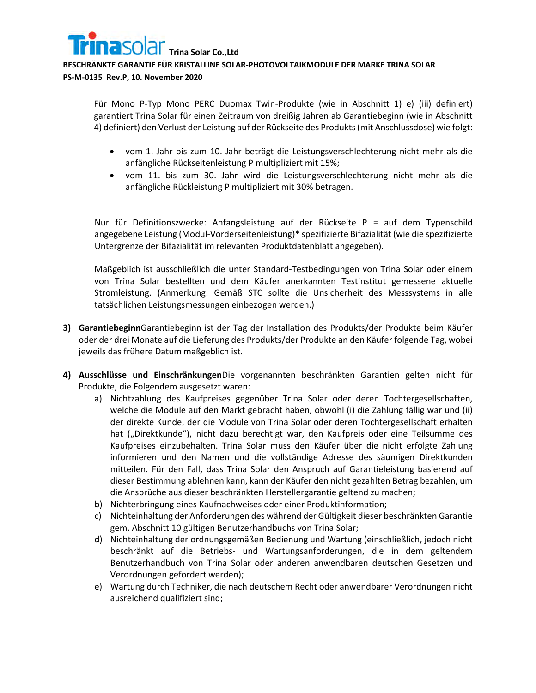

**PS-M-0135 Rev.P, 10. November 2020**

Für Mono P-Typ Mono PERC Duomax Twin-Produkte (wie in Abschnitt 1) e) (iii) definiert) garantiert Trina Solar für einen Zeitraum von dreißig Jahren ab Garantiebeginn (wie in Abschnitt 4) definiert) den Verlust der Leistung auf der Rückseite des Produkts (mit Anschlussdose) wie folgt:

- vom 1. Jahr bis zum 10. Jahr beträgt die Leistungsverschlechterung nicht mehr als die anfängliche Rückseitenleistung P multipliziert mit 15%;
- vom 11. bis zum 30. Jahr wird die Leistungsverschlechterung nicht mehr als die anfängliche Rückleistung P multipliziert mit 30% betragen.

Nur für Definitionszwecke: Anfangsleistung auf der Rückseite P = auf dem Typenschild angegebene Leistung (Modul-Vorderseitenleistung)\* spezifizierte Bifazialität (wie die spezifizierte Untergrenze der Bifazialität im relevanten Produktdatenblatt angegeben).

Maßgeblich ist ausschließlich die unter Standard-Testbedingungen von Trina Solar oder einem von Trina Solar bestellten und dem Käufer anerkannten Testinstitut gemessene aktuelle Stromleistung. (Anmerkung: Gemäß STC sollte die Unsicherheit des Messsystems in alle tatsächlichen Leistungsmessungen einbezogen werden.)

- **3) Garantiebeginn**Garantiebeginn ist der Tag der Installation des Produkts/der Produkte beim Käufer oder der drei Monate auf die Lieferung des Produkts/der Produkte an den Käufer folgende Tag, wobei jeweils das frühere Datum maßgeblich ist.
- **4) Ausschlüsse und Einschränkungen**Die vorgenannten beschränkten Garantien gelten nicht für Produkte, die Folgendem ausgesetzt waren:
	- a) Nichtzahlung des Kaufpreises gegenüber Trina Solar oder deren Tochtergesellschaften, welche die Module auf den Markt gebracht haben, obwohl (i) die Zahlung fällig war und (ii) der direkte Kunde, der die Module von Trina Solar oder deren Tochtergesellschaft erhalten hat ("Direktkunde"), nicht dazu berechtigt war, den Kaufpreis oder eine Teilsumme des Kaufpreises einzubehalten. Trina Solar muss den Käufer über die nicht erfolgte Zahlung informieren und den Namen und die vollständige Adresse des säumigen Direktkunden mitteilen. Für den Fall, dass Trina Solar den Anspruch auf Garantieleistung basierend auf dieser Bestimmung ablehnen kann, kann der Käufer den nicht gezahlten Betrag bezahlen, um die Ansprüche aus dieser beschränkten Herstellergarantie geltend zu machen;
	- b) Nichterbringung eines Kaufnachweises oder einer Produktinformation;
	- c) Nichteinhaltung der Anforderungen des während der Gültigkeit dieser beschränkten Garantie gem. Abschnitt 10 gültigen Benutzerhandbuchs von Trina Solar;
	- d) Nichteinhaltung der ordnungsgemäßen Bedienung und Wartung (einschließlich, jedoch nicht beschränkt auf die Betriebs- und Wartungsanforderungen, die in dem geltendem Benutzerhandbuch von Trina Solar oder anderen anwendbaren deutschen Gesetzen und Verordnungen gefordert werden);
	- e) Wartung durch Techniker, die nach deutschem Recht oder anwendbarer Verordnungen nicht ausreichend qualifiziert sind;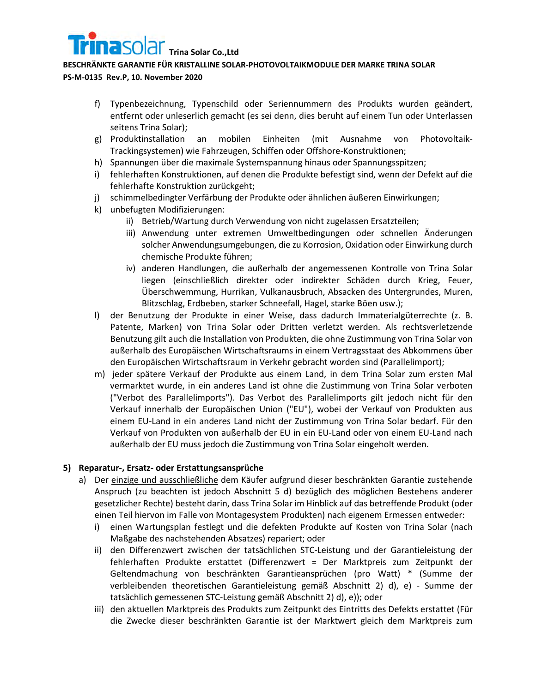

**PS-M-0135 Rev.P, 10. November 2020**

- f) Typenbezeichnung, Typenschild oder Seriennummern des Produkts wurden geändert, entfernt oder unleserlich gemacht (es sei denn, dies beruht auf einem Tun oder Unterlassen seitens Trina Solar);
- g) Produktinstallation an mobilen Einheiten (mit Ausnahme von Photovoltaik-Trackingsystemen) wie Fahrzeugen, Schiffen oder Offshore-Konstruktionen;
- h) Spannungen über die maximale Systemspannung hinaus oder Spannungsspitzen;
- i) fehlerhaften Konstruktionen, auf denen die Produkte befestigt sind, wenn der Defekt auf die fehlerhafte Konstruktion zurückgeht;
- j) schimmelbedingter Verfärbung der Produkte oder ähnlichen äußeren Einwirkungen;
- k) unbefugten Modifizierungen:
	- ii) Betrieb/Wartung durch Verwendung von nicht zugelassen Ersatzteilen;
	- iii) Anwendung unter extremen Umweltbedingungen oder schnellen Änderungen solcher Anwendungsumgebungen, die zu Korrosion, Oxidation oder Einwirkung durch chemische Produkte führen;
	- iv) anderen Handlungen, die außerhalb der angemessenen Kontrolle von Trina Solar liegen (einschließlich direkter oder indirekter Schäden durch Krieg, Feuer, Überschwemmung, Hurrikan, Vulkanausbruch, Absacken des Untergrundes, Muren, Blitzschlag, Erdbeben, starker Schneefall, Hagel, starke Böen usw.);
- l) der Benutzung der Produkte in einer Weise, dass dadurch Immaterialgüterrechte (z. B. Patente, Marken) von Trina Solar oder Dritten verletzt werden. Als rechtsverletzende Benutzung gilt auch die Installation von Produkten, die ohne Zustimmung von Trina Solar von außerhalb des Europäischen Wirtschaftsraums in einem Vertragsstaat des Abkommens über den Europäischen Wirtschaftsraum in Verkehr gebracht worden sind (Parallelimport);
- m) jeder spätere Verkauf der Produkte aus einem Land, in dem Trina Solar zum ersten Mal vermarktet wurde, in ein anderes Land ist ohne die Zustimmung von Trina Solar verboten ("Verbot des Parallelimports"). Das Verbot des Parallelimports gilt jedoch nicht für den Verkauf innerhalb der Europäischen Union ("EU"), wobei der Verkauf von Produkten aus einem EU-Land in ein anderes Land nicht der Zustimmung von Trina Solar bedarf. Für den Verkauf von Produkten von außerhalb der EU in ein EU-Land oder von einem EU-Land nach außerhalb der EU muss jedoch die Zustimmung von Trina Solar eingeholt werden.

## **5) Reparatur-, Ersatz- oder Erstattungsansprüche**

- a) Der einzige und ausschließliche dem Käufer aufgrund dieser beschränkten Garantie zustehende Anspruch (zu beachten ist jedoch Abschnitt 5 d) bezüglich des möglichen Bestehens anderer gesetzlicher Rechte) besteht darin, dass Trina Solar im Hinblick auf das betreffende Produkt (oder einen Teil hiervon im Falle von Montagesystem Produkten) nach eigenem Ermessen entweder:
	- i) einen Wartungsplan festlegt und die defekten Produkte auf Kosten von Trina Solar (nach Maßgabe des nachstehenden Absatzes) repariert; oder
	- ii) den Differenzwert zwischen der tatsächlichen STC-Leistung und der Garantieleistung der fehlerhaften Produkte erstattet (Differenzwert = Der Marktpreis zum Zeitpunkt der Geltendmachung von beschränkten Garantieansprüchen (pro Watt) \* (Summe der verbleibenden theoretischen Garantieleistung gemäß Abschnitt 2) d), e) - Summe der tatsächlich gemessenen STC-Leistung gemäß Abschnitt 2) d), e)); oder
	- iii) den aktuellen Marktpreis des Produkts zum Zeitpunkt des Eintritts des Defekts erstattet (Für die Zwecke dieser beschränkten Garantie ist der Marktwert gleich dem Marktpreis zum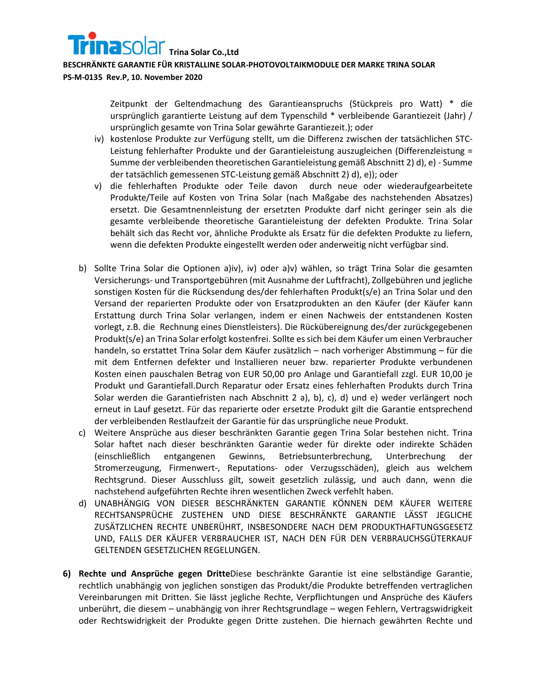

#### **PS-M-0135 Rev.P, 10. November 2020**

Zeitpunkt der Geltendmachung des Garantieanspruchs (Stückpreis pro Watt) \* die ursprünglich garantierte Leistung auf dem Typenschild \* verbleibende Garantiezeit (Jahr) / ursprünglich gesamte von Trina Solar gewährte Garantiezeit.); oder

- <span id="page-9-0"></span>iv) kostenlose Produkte zur Verfügung stellt, um die Differenz zwischen der tatsächlichen STC-Leistung fehlerhafter Produkte und der Garantieleistung auszugleichen (Differenzleistung = Summe der verbleibenden theoretischen Garantieleistung gemäß Abschnitt 2) d), e) - Summe der tatsächlich gemessenen STC-Leistung gemäß Abschnitt 2) d), e)); oder
- <span id="page-9-1"></span>v) die fehlerhaften Produkte oder Teile davon durch neue oder wiederaufgearbeitete Produkte/Teile auf Kosten von Trina Solar (nach Maßgabe des nachstehenden Absatzes) ersetzt. Die Gesamtnennleistung der ersetzten Produkte darf nicht geringer sein als die gesamte verbleibende theoretische Garantieleistung der defekten Produkte. Trina Solar behält sich das Recht vor, ähnliche Produkte als Ersatz für die defekten Produkte zu liefern, wenn die defekten Produkte eingestellt werden oder anderweitig nicht verfügbar sind.
- b) Sollte Trina Solar die Optionen [a\)iv\),](#page-9-0) iv) oder [a\)v\)](#page-9-1) wählen, so trägt Trina Solar die gesamten Versicherungs- und Transportgebühren (mit Ausnahme der Luftfracht), Zollgebühren und jegliche sonstigen Kosten für die Rücksendung des/der fehlerhaften Produkt(s/e) an Trina Solar und den Versand der reparierten Produkte oder von Ersatzprodukten an den Käufer (der Käufer kann Erstattung durch Trina Solar verlangen, indem er einen Nachweis der entstandenen Kosten vorlegt, z.B. die Rechnung eines Dienstleisters). Die Rückübereignung des/der zurückgegebenen Produkt(s/e) an Trina Solar erfolgt kostenfrei. Sollte es sich bei dem Käufer um einen Verbraucher handeln, so erstattet Trina Solar dem Käufer zusätzlich – nach vorheriger Abstimmung – für die mit dem Entfernen defekter und Installieren neuer bzw. reparierter Produkte verbundenen Kosten einen pauschalen Betrag von EUR 50,00 pro Anlage und Garantiefall zzgl. EUR 10,00 je Produkt und Garantiefall.Durch Reparatur oder Ersatz eines fehlerhaften Produkts durch Trina Solar werden die Garantiefristen nach Abschnitt 2 a), b), c), d) und e) weder verlängert noch erneut in Lauf gesetzt. Für das reparierte oder ersetzte Produkt gilt die Garantie entsprechend der verbleibenden Restlaufzeit der Garantie für das ursprüngliche neue Produkt.
- c) Weitere Ansprüche aus dieser beschränkten Garantie gegen Trina Solar bestehen nicht. Trina Solar haftet nach dieser beschränkten Garantie weder für direkte oder indirekte Schäden (einschließlich entgangenen Gewinns, Betriebsunterbrechung, Unterbrechung der Stromerzeugung, Firmenwert-, Reputations- oder Verzugsschäden), gleich aus welchem Rechtsgrund. Dieser Ausschluss gilt, soweit gesetzlich zulässig, und auch dann, wenn die nachstehend aufgeführten Rechte ihren wesentlichen Zweck verfehlt haben.
- d) UNABHÄNGIG VON DIESER BESCHRÄNKTEN GARANTIE KÖNNEN DEM KÄUFER WEITERE RECHTSANSPRÜCHE ZUSTEHEN UND DIESE BESCHRÄNKTE GARANTIE LÄSST JEGLICHE ZUSÄTZLICHEN RECHTE UNBERÜHRT, INSBESONDERE NACH DEM PRODUKTHAFTUNGSGESETZ UND, FALLS DER KÄUFER VERBRAUCHER IST, NACH DEN FÜR DEN VERBRAUCHSGÜTERKAUF GELTENDEN GESETZLICHEN REGELUNGEN.
- **6) Rechte und Ansprüche gegen Dritte**Diese beschränkte Garantie ist eine selbständige Garantie, rechtlich unabhängig von jeglichen sonstigen das Produkt/die Produkte betreffenden vertraglichen Vereinbarungen mit Dritten. Sie lässt jegliche Rechte, Verpflichtungen und Ansprüche des Käufers unberührt, die diesem – unabhängig von ihrer Rechtsgrundlage – wegen Fehlern, Vertragswidrigkeit oder Rechtswidrigkeit der Produkte gegen Dritte zustehen. Die hiernach gewährten Rechte und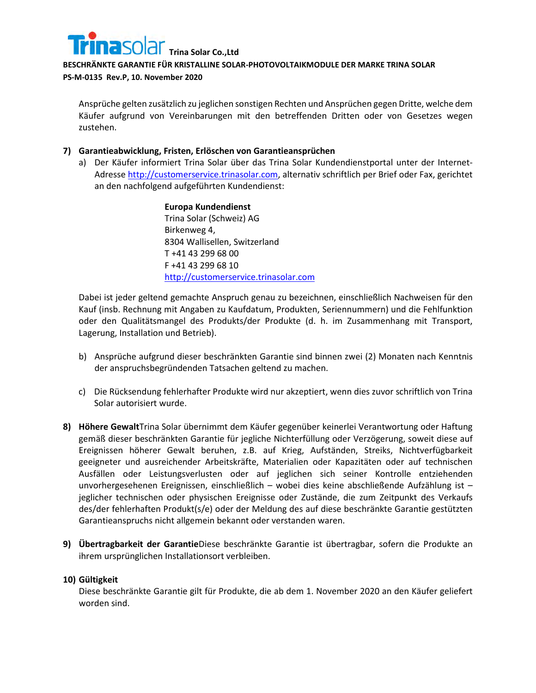

## **PS-M-0135 Rev.P, 10. November 2020**

Ansprüche gelten zusätzlich zu jeglichen sonstigen Rechten und Ansprüchen gegen Dritte, welche dem Käufer aufgrund von Vereinbarungen mit den betreffenden Dritten oder von Gesetzes wegen zustehen.

## **7) Garantieabwicklung, Fristen, Erlöschen von Garantieansprüchen**

a) Der Käufer informiert Trina Solar über das Trina Solar Kundendienstportal unter der Internet-Adresse [http://customerservice.trinasolar.com,](http://customerservice.trinasolar.com/) alternativ schriftlich per Brief oder Fax, gerichtet an den nachfolgend aufgeführten Kundendienst:

> **Europa Kundendienst** Trina Solar (Schweiz) AG Birkenweg 4, 8304 Wallisellen, Switzerland T +41 43 299 68 00 F +41 43 299 68 10 [http://customerservice.trinasolar.com](http://customerservice.trinasolar.com/)

Dabei ist jeder geltend gemachte Anspruch genau zu bezeichnen, einschließlich Nachweisen für den Kauf (insb. Rechnung mit Angaben zu Kaufdatum, Produkten, Seriennummern) und die Fehlfunktion oder den Qualitätsmangel des Produkts/der Produkte (d. h. im Zusammenhang mit Transport, Lagerung, Installation und Betrieb).

- b) Ansprüche aufgrund dieser beschränkten Garantie sind binnen zwei (2) Monaten nach Kenntnis der anspruchsbegründenden Tatsachen geltend zu machen.
- c) Die Rücksendung fehlerhafter Produkte wird nur akzeptiert, wenn dies zuvor schriftlich von Trina Solar autorisiert wurde.
- **8) Höhere Gewalt**Trina Solar übernimmt dem Käufer gegenüber keinerlei Verantwortung oder Haftung gemäß dieser beschränkten Garantie für jegliche Nichterfüllung oder Verzögerung, soweit diese auf Ereignissen höherer Gewalt beruhen, z.B. auf Krieg, Aufständen, Streiks, Nichtverfügbarkeit geeigneter und ausreichender Arbeitskräfte, Materialien oder Kapazitäten oder auf technischen Ausfällen oder Leistungsverlusten oder auf jeglichen sich seiner Kontrolle entziehenden unvorhergesehenen Ereignissen, einschließlich – wobei dies keine abschließende Aufzählung ist – jeglicher technischen oder physischen Ereignisse oder Zustände, die zum Zeitpunkt des Verkaufs des/der fehlerhaften Produkt(s/e) oder der Meldung des auf diese beschränkte Garantie gestützten Garantieanspruchs nicht allgemein bekannt oder verstanden waren.
- **9) Übertragbarkeit der Garantie**Diese beschränkte Garantie ist übertragbar, sofern die Produkte an ihrem ursprünglichen Installationsort verbleiben.

## **10) Gültigkeit**

Diese beschränkte Garantie gilt für Produkte, die ab dem 1. November 2020 an den Käufer geliefert worden sind.